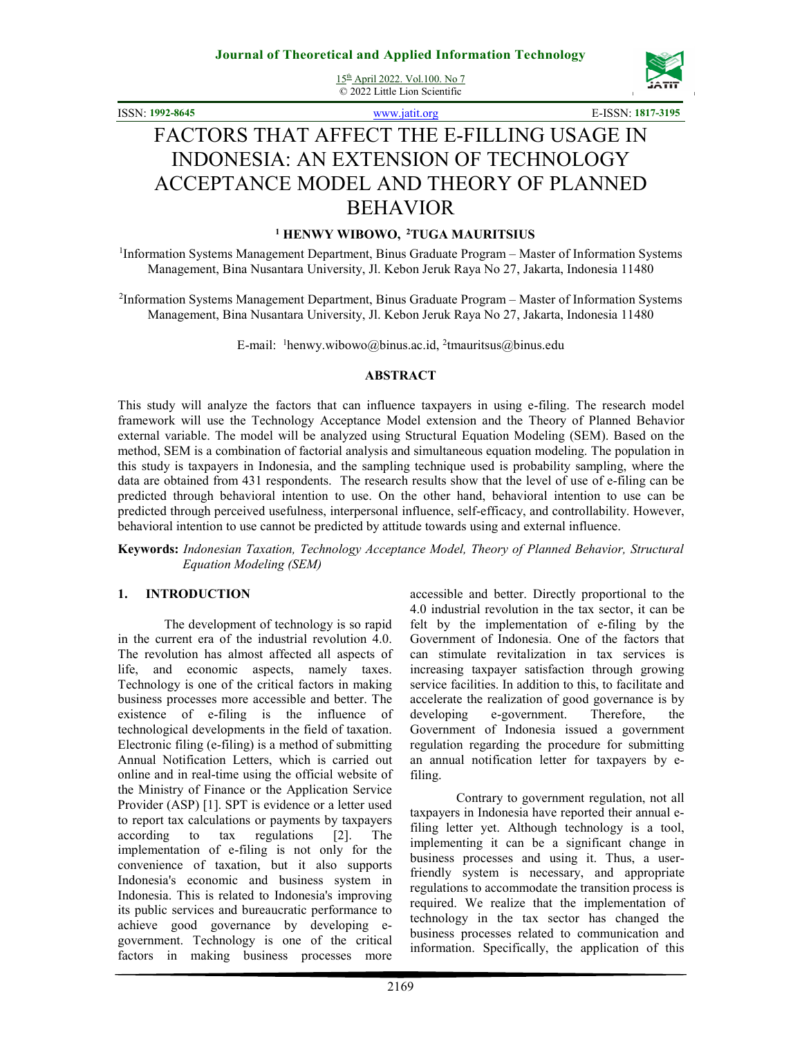15th April 2022. Vol.100. No 7 © 2022 Little Lion Scientific



ISSN: **1992-8645** www.jatit.org E-ISSN: **1817-3195**

# FACTORS THAT AFFECT THE E-FILLING USAGE IN INDONESIA: AN EXTENSION OF TECHNOLOGY ACCEPTANCE MODEL AND THEORY OF PLANNED BEHAVIOR

## **<sup>1</sup> HENWY WIBOWO, <sup>2</sup>TUGA MAURITSIUS**

<sup>1</sup>Information Systems Management Department, Binus Graduate Program - Master of Information Systems Management, Bina Nusantara University, Jl. Kebon Jeruk Raya No 27, Jakarta, Indonesia 11480

<sup>2</sup>Information Systems Management Department, Binus Graduate Program - Master of Information Systems Management, Bina Nusantara University, Jl. Kebon Jeruk Raya No 27, Jakarta, Indonesia 11480

E-mail: <sup>1</sup>henwy.wibowo@binus.ac.id, <sup>2</sup>tmauritsus@binus.edu

#### **ABSTRACT**

This study will analyze the factors that can influence taxpayers in using e-filing. The research model framework will use the Technology Acceptance Model extension and the Theory of Planned Behavior external variable. The model will be analyzed using Structural Equation Modeling (SEM). Based on the method, SEM is a combination of factorial analysis and simultaneous equation modeling. The population in this study is taxpayers in Indonesia, and the sampling technique used is probability sampling, where the data are obtained from 431 respondents. The research results show that the level of use of e-filing can be predicted through behavioral intention to use. On the other hand, behavioral intention to use can be predicted through perceived usefulness, interpersonal influence, self-efficacy, and controllability. However, behavioral intention to use cannot be predicted by attitude towards using and external influence.

**Keywords:** *Indonesian Taxation, Technology Acceptance Model, Theory of Planned Behavior, Structural Equation Modeling (SEM)*

### **1. INTRODUCTION**

The development of technology is so rapid in the current era of the industrial revolution 4.0. The revolution has almost affected all aspects of life, and economic aspects, namely taxes. Technology is one of the critical factors in making business processes more accessible and better. The existence of e-filing is the influence of technological developments in the field of taxation. Electronic filing (e-filing) is a method of submitting Annual Notification Letters, which is carried out online and in real-time using the official website of the Ministry of Finance or the Application Service Provider (ASP) [1]. SPT is evidence or a letter used to report tax calculations or payments by taxpayers according to tax regulations [2]. The implementation of e-filing is not only for the convenience of taxation, but it also supports Indonesia's economic and business system in Indonesia. This is related to Indonesia's improving its public services and bureaucratic performance to achieve good governance by developing egovernment. Technology is one of the critical factors in making business processes more

accessible and better. Directly proportional to the 4.0 industrial revolution in the tax sector, it can be felt by the implementation of e-filing by the Government of Indonesia. One of the factors that can stimulate revitalization in tax services is increasing taxpayer satisfaction through growing service facilities. In addition to this, to facilitate and accelerate the realization of good governance is by developing e-government. Therefore, the Government of Indonesia issued a government regulation regarding the procedure for submitting an annual notification letter for taxpayers by efiling.

Contrary to government regulation, not all taxpayers in Indonesia have reported their annual efiling letter yet. Although technology is a tool, implementing it can be a significant change in business processes and using it. Thus, a userfriendly system is necessary, and appropriate regulations to accommodate the transition process is required. We realize that the implementation of technology in the tax sector has changed the business processes related to communication and information. Specifically, the application of this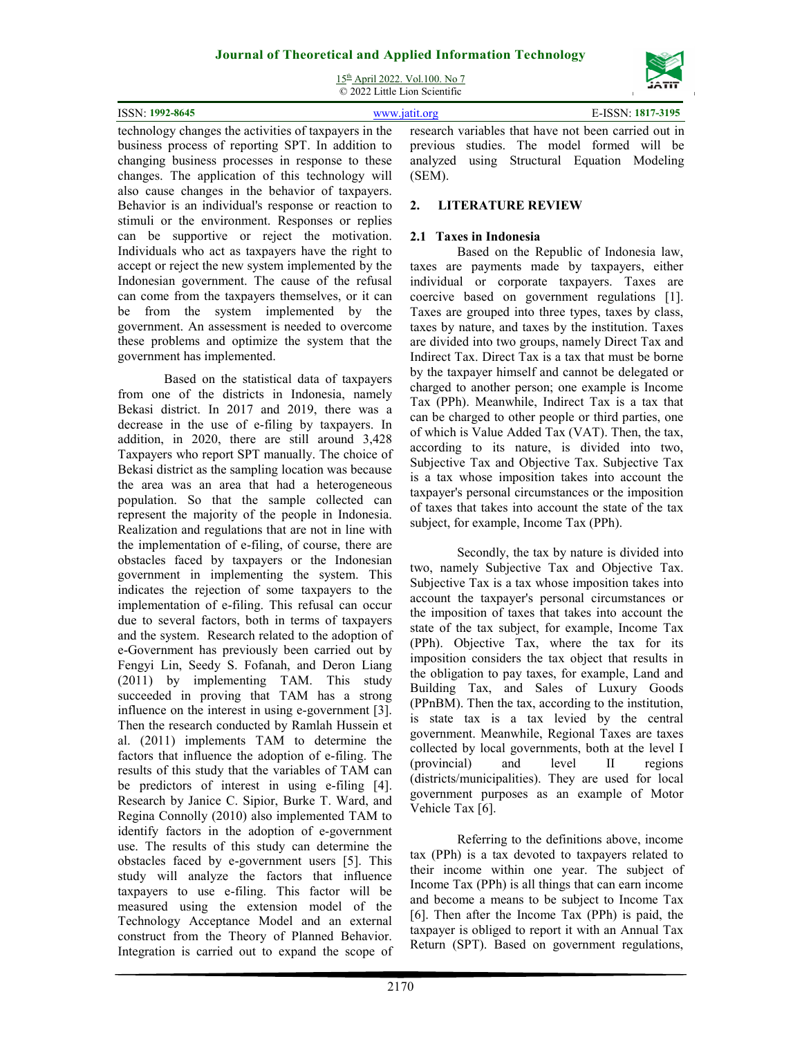15th April 2022. Vol.100. No 7 © 2022 Little Lion Scientific

| <b>ISSN: 1992-8645</b> | www.jatit.org                                                                                            | E-ISSN: 1817-3195 |
|------------------------|----------------------------------------------------------------------------------------------------------|-------------------|
|                        | tool polygonal the contribution of towns use that the research veriches that have not been comind out in |                   |

technology changes the activities of taxpayers in the business process of reporting SPT. In addition to changing business processes in response to these changes. The application of this technology will also cause changes in the behavior of taxpayers. Behavior is an individual's response or reaction to stimuli or the environment. Responses or replies can be supportive or reject the motivation. Individuals who act as taxpayers have the right to accept or reject the new system implemented by the Indonesian government. The cause of the refusal can come from the taxpayers themselves, or it can be from the system implemented by the government. An assessment is needed to overcome these problems and optimize the system that the government has implemented.

Based on the statistical data of taxpayers from one of the districts in Indonesia, namely Bekasi district. In 2017 and 2019, there was a decrease in the use of e-filing by taxpayers. In addition, in 2020, there are still around 3,428 Taxpayers who report SPT manually. The choice of Bekasi district as the sampling location was because the area was an area that had a heterogeneous population. So that the sample collected can represent the majority of the people in Indonesia. Realization and regulations that are not in line with the implementation of e-filing, of course, there are obstacles faced by taxpayers or the Indonesian government in implementing the system. This indicates the rejection of some taxpayers to the implementation of e-filing. This refusal can occur due to several factors, both in terms of taxpayers and the system. Research related to the adoption of e-Government has previously been carried out by Fengyi Lin, Seedy S. Fofanah, and Deron Liang (2011) by implementing TAM. This study succeeded in proving that TAM has a strong influence on the interest in using e-government [3]. Then the research conducted by Ramlah Hussein et al. (2011) implements TAM to determine the factors that influence the adoption of e-filing. The results of this study that the variables of TAM can be predictors of interest in using e-filing [4]. Research by Janice C. Sipior, Burke T. Ward, and Regina Connolly (2010) also implemented TAM to identify factors in the adoption of e-government use. The results of this study can determine the obstacles faced by e-government users [5]. This study will analyze the factors that influence taxpayers to use e-filing. This factor will be measured using the extension model of the Technology Acceptance Model and an external construct from the Theory of Planned Behavior. Integration is carried out to expand the scope of

research variables that have not been carried out in previous studies. The model formed will be analyzed using Structural Equation Modeling (SEM).

# **2. LITERATURE REVIEW**

## **2.1 Taxes in Indonesia**

Based on the Republic of Indonesia law, taxes are payments made by taxpayers, either individual or corporate taxpayers. Taxes are coercive based on government regulations [1]. Taxes are grouped into three types, taxes by class, taxes by nature, and taxes by the institution. Taxes are divided into two groups, namely Direct Tax and Indirect Tax. Direct Tax is a tax that must be borne by the taxpayer himself and cannot be delegated or charged to another person; one example is Income Tax (PPh). Meanwhile, Indirect Tax is a tax that can be charged to other people or third parties, one of which is Value Added Tax (VAT). Then, the tax, according to its nature, is divided into two, Subjective Tax and Objective Tax. Subjective Tax is a tax whose imposition takes into account the taxpayer's personal circumstances or the imposition of taxes that takes into account the state of the tax subject, for example, Income Tax (PPh).

Secondly, the tax by nature is divided into two, namely Subjective Tax and Objective Tax. Subjective Tax is a tax whose imposition takes into account the taxpayer's personal circumstances or the imposition of taxes that takes into account the state of the tax subject, for example, Income Tax (PPh). Objective Tax, where the tax for its imposition considers the tax object that results in the obligation to pay taxes, for example, Land and Building Tax, and Sales of Luxury Goods (PPnBM). Then the tax, according to the institution, is state tax is a tax levied by the central government. Meanwhile, Regional Taxes are taxes collected by local governments, both at the level I (provincial) and level II regions (districts/municipalities). They are used for local government purposes as an example of Motor Vehicle Tax [6].

Referring to the definitions above, income tax (PPh) is a tax devoted to taxpayers related to their income within one year. The subject of Income Tax (PPh) is all things that can earn income and become a means to be subject to Income Tax [6]. Then after the Income Tax (PPh) is paid, the taxpayer is obliged to report it with an Annual Tax Return (SPT). Based on government regulations,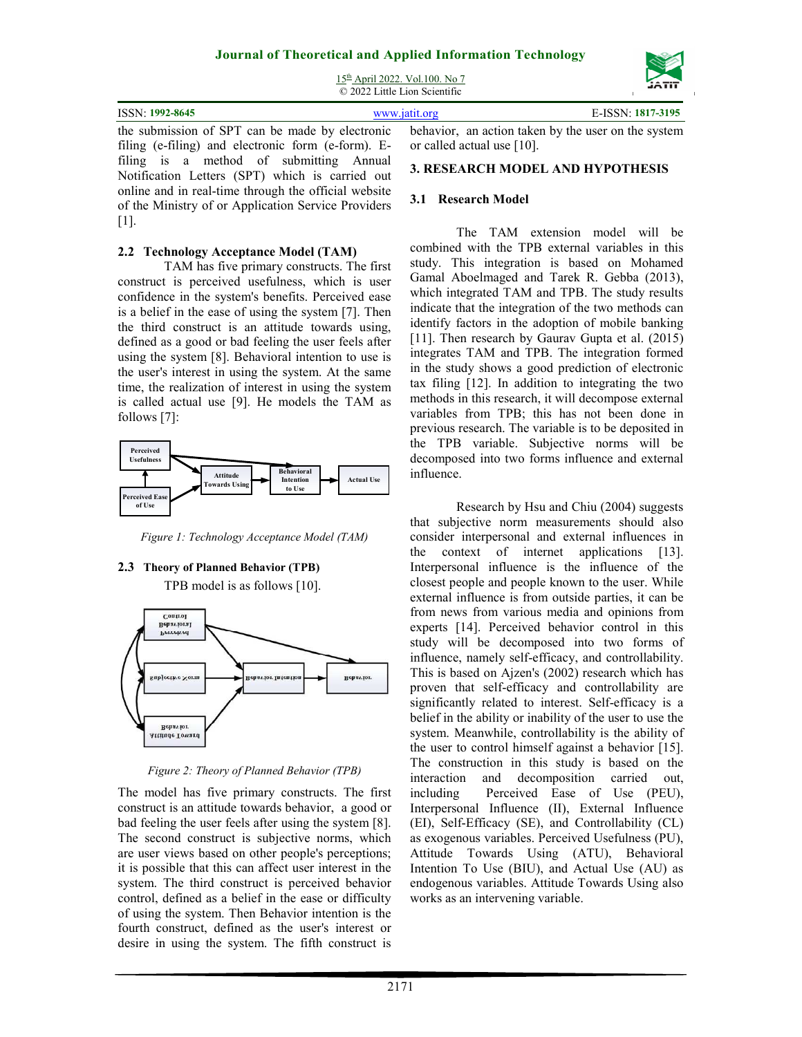15th April 2022. Vol.100. No 7 © 2022 Little Lion Scientific



filing (e-filing) and electronic form (e-form). Efiling is a method of submitting Annual Notification Letters (SPT) which is carried out online and in real-time through the official website of the Ministry of or Application Service Providers [1].

## **2.2 Technology Acceptance Model (TAM)**

TAM has five primary constructs. The first construct is perceived usefulness, which is user confidence in the system's benefits. Perceived ease is a belief in the ease of using the system [7]. Then the third construct is an attitude towards using, defined as a good or bad feeling the user feels after using the system [8]. Behavioral intention to use is the user's interest in using the system. At the same time, the realization of interest in using the system is called actual use [9]. He models the TAM as follows [7]:



*Figure 1: Technology Acceptance Model (TAM)* 

## **2.3 Theory of Planned Behavior (TPB)**

TPB model is as follows [10].



*Figure 2: Theory of Planned Behavior (TPB)* 

The model has five primary constructs. The first construct is an attitude towards behavior, a good or bad feeling the user feels after using the system [8]. The second construct is subjective norms, which are user views based on other people's perceptions; it is possible that this can affect user interest in the system. The third construct is perceived behavior control, defined as a belief in the ease or difficulty of using the system. Then Behavior intention is the fourth construct, defined as the user's interest or desire in using the system. The fifth construct is

or called actual use [10].

## **3. RESEARCH MODEL AND HYPOTHESIS**

## **3.1 Research Model**

The TAM extension model will be combined with the TPB external variables in this study. This integration is based on Mohamed Gamal Aboelmaged and Tarek R. Gebba (2013), which integrated TAM and TPB. The study results indicate that the integration of the two methods can identify factors in the adoption of mobile banking [11]. Then research by Gaurav Gupta et al. (2015) integrates TAM and TPB. The integration formed in the study shows a good prediction of electronic tax filing [12]. In addition to integrating the two methods in this research, it will decompose external variables from TPB; this has not been done in previous research. The variable is to be deposited in the TPB variable. Subjective norms will be decomposed into two forms influence and external influence.

Research by Hsu and Chiu (2004) suggests that subjective norm measurements should also consider interpersonal and external influences in the context of internet applications [13]. Interpersonal influence is the influence of the closest people and people known to the user. While external influence is from outside parties, it can be from news from various media and opinions from experts [14]. Perceived behavior control in this study will be decomposed into two forms of influence, namely self-efficacy, and controllability. This is based on Ajzen's (2002) research which has proven that self-efficacy and controllability are significantly related to interest. Self-efficacy is a belief in the ability or inability of the user to use the system. Meanwhile, controllability is the ability of the user to control himself against a behavior [15]. The construction in this study is based on the interaction and decomposition carried out, including Perceived Ease of Use (PEU), Interpersonal Influence (II), External Influence (EI), Self-Efficacy (SE), and Controllability (CL) as exogenous variables. Perceived Usefulness (PU), Attitude Towards Using (ATU), Behavioral Intention To Use (BIU), and Actual Use (AU) as endogenous variables. Attitude Towards Using also works as an intervening variable.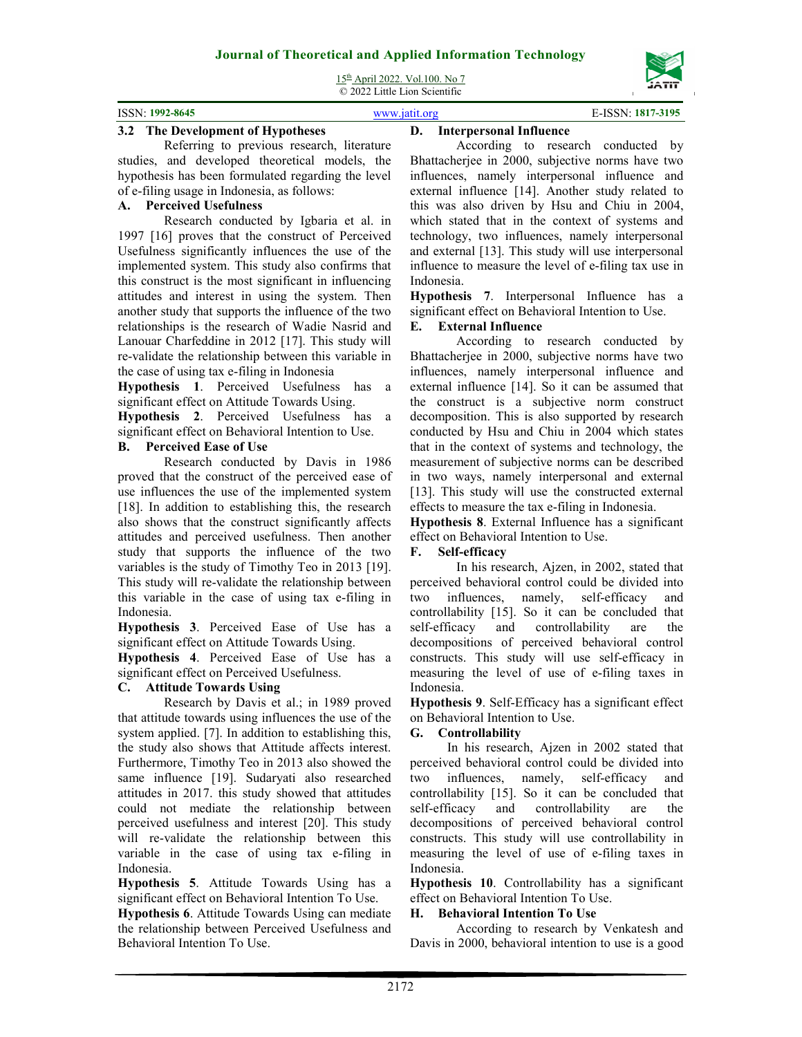15th April 2022. Vol.100. No 7

© 2022 Little Lion Scientific

| $: 1992 - 8645$<br>ISSN: | $\mathbf{r}$ |
|--------------------------|--------------|
|                          |              |

## **3.2 The Development of Hypotheses**

Referring to previous research, literature studies, and developed theoretical models, the hypothesis has been formulated regarding the level of e-filing usage in Indonesia, as follows:

## **A. Perceived Usefulness**

Research conducted by Igbaria et al. in 1997 [16] proves that the construct of Perceived Usefulness significantly influences the use of the implemented system. This study also confirms that this construct is the most significant in influencing attitudes and interest in using the system. Then another study that supports the influence of the two relationships is the research of Wadie Nasrid and Lanouar Charfeddine in 2012 [17]. This study will re-validate the relationship between this variable in the case of using tax e-filing in Indonesia

**Hypothesis 1**. Perceived Usefulness has a significant effect on Attitude Towards Using.

**Hypothesis 2**. Perceived Usefulness has a significant effect on Behavioral Intention to Use.

# **B. Perceived Ease of Use**

Research conducted by Davis in 1986 proved that the construct of the perceived ease of use influences the use of the implemented system [18]. In addition to establishing this, the research also shows that the construct significantly affects attitudes and perceived usefulness. Then another study that supports the influence of the two variables is the study of Timothy Teo in 2013 [19]. This study will re-validate the relationship between this variable in the case of using tax e-filing in Indonesia.

**Hypothesis 3**. Perceived Ease of Use has a significant effect on Attitude Towards Using.

**Hypothesis 4**. Perceived Ease of Use has a significant effect on Perceived Usefulness.

### **C. Attitude Towards Using**

Research by Davis et al.; in 1989 proved that attitude towards using influences the use of the system applied. [7]. In addition to establishing this, the study also shows that Attitude affects interest. Furthermore, Timothy Teo in 2013 also showed the same influence [19]. Sudaryati also researched attitudes in 2017. this study showed that attitudes could not mediate the relationship between perceived usefulness and interest [20]. This study will re-validate the relationship between this variable in the case of using tax e-filing in Indonesia.

**Hypothesis 5**. Attitude Towards Using has a significant effect on Behavioral Intention To Use.

**Hypothesis 6**. Attitude Towards Using can mediate the relationship between Perceived Usefulness and Behavioral Intention To Use.

# **D. Interpersonal Influence**

According to research conducted by Bhattacherjee in 2000, subjective norms have two influences, namely interpersonal influence and external influence [14]. Another study related to this was also driven by Hsu and Chiu in 2004, which stated that in the context of systems and technology, two influences, namely interpersonal and external [13]. This study will use interpersonal influence to measure the level of e-filing tax use in Indonesia.

**Hypothesis 7**. Interpersonal Influence has a significant effect on Behavioral Intention to Use.

## **E. External Influence**

According to research conducted by Bhattacherjee in 2000, subjective norms have two influences, namely interpersonal influence and external influence [14]. So it can be assumed that the construct is a subjective norm construct decomposition. This is also supported by research conducted by Hsu and Chiu in 2004 which states that in the context of systems and technology, the measurement of subjective norms can be described in two ways, namely interpersonal and external [13]. This study will use the constructed external effects to measure the tax e-filing in Indonesia.

**Hypothesis 8**. External Influence has a significant effect on Behavioral Intention to Use.

## **F. Self-efficacy**

In his research, Ajzen, in 2002, stated that perceived behavioral control could be divided into two influences, namely, self-efficacy and controllability [15]. So it can be concluded that self-efficacy and controllability are the decompositions of perceived behavioral control constructs. This study will use self-efficacy in measuring the level of use of e-filing taxes in Indonesia.

**Hypothesis 9**. Self-Efficacy has a significant effect on Behavioral Intention to Use.

### **G. Controllability**

In his research, Ajzen in 2002 stated that perceived behavioral control could be divided into two influences, namely, self-efficacy and controllability [15]. So it can be concluded that self-efficacy and controllability are the decompositions of perceived behavioral control constructs. This study will use controllability in measuring the level of use of e-filing taxes in Indonesia.

**Hypothesis 10**. Controllability has a significant effect on Behavioral Intention To Use.

### **H. Behavioral Intention To Use**

According to research by Venkatesh and Davis in 2000, behavioral intention to use is a good

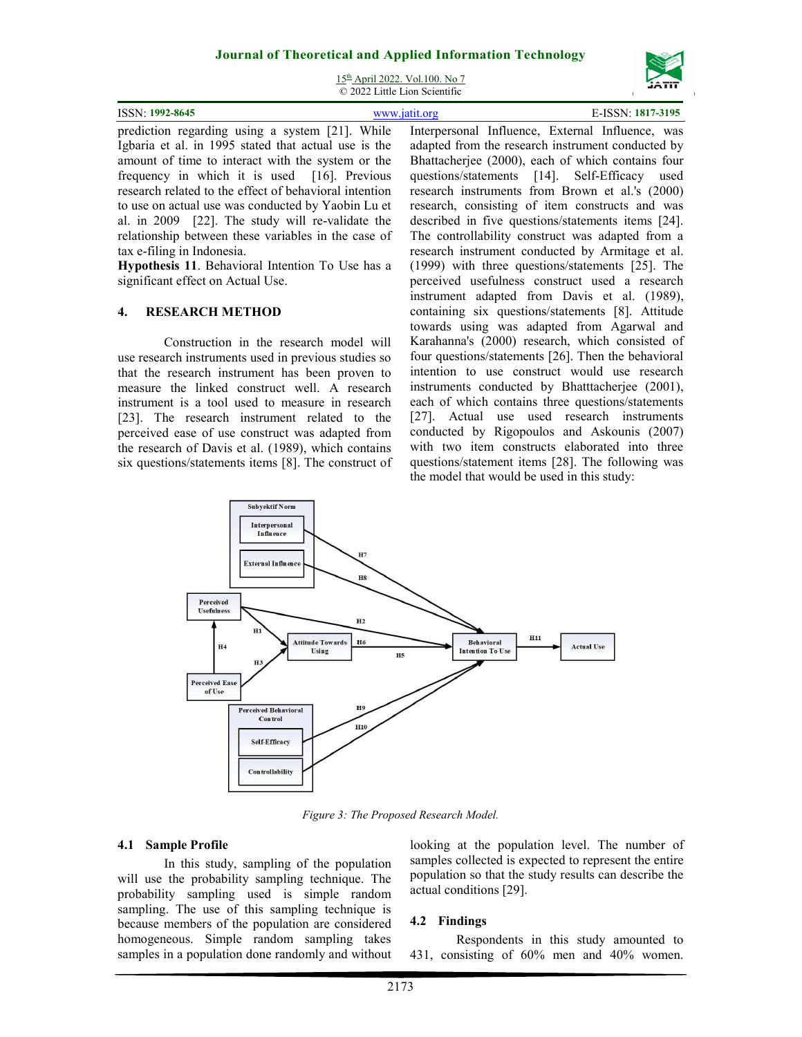15th April 2022. Vol.100. No 7 © 2022 Little Lion Scientific

| ISSN: 1992-8645                                                                                        | www.jatit.org |  | E-ISSN: 1817-3195 |  |
|--------------------------------------------------------------------------------------------------------|---------------|--|-------------------|--|
| prediction regarding using a system [21]. While Interpersonal Influence, External Influence, was       |               |  |                   |  |
| Igheria et al. in 1005 stated that actual use is the adopted from the research instrument conducted by |               |  |                   |  |

Igbaria et al. in 1995 stated that actual use is the amount of time to interact with the system or the frequency in which it is used [16]. Previous research related to the effect of behavioral intention to use on actual use was conducted by Yaobin Lu et al. in 2009 [22]. The study will re-validate the relationship between these variables in the case of tax e-filing in Indonesia.

**Hypothesis 11**. Behavioral Intention To Use has a significant effect on Actual Use.

#### **4. RESEARCH METHOD**

Construction in the research model will use research instruments used in previous studies so that the research instrument has been proven to measure the linked construct well. A research instrument is a tool used to measure in research [23]. The research instrument related to the perceived ease of use construct was adapted from the research of Davis et al. (1989), which contains six questions/statements items [8]. The construct of

Interpersonal Influence, External Influence, was adapted from the research instrument conducted by Bhattacherjee (2000), each of which contains four questions/statements [14]. Self-Efficacy used research instruments from Brown et al.'s (2000) research, consisting of item constructs and was described in five questions/statements items [24]. The controllability construct was adapted from a research instrument conducted by Armitage et al. (1999) with three questions/statements [25]. The perceived usefulness construct used a research instrument adapted from Davis et al. (1989), containing six questions/statements [8]. Attitude towards using was adapted from Agarwal and Karahanna's (2000) research, which consisted of four questions/statements [26]. Then the behavioral intention to use construct would use research instruments conducted by Bhatttacherjee (2001), each of which contains three questions/statements [27]. Actual use used research instruments conducted by Rigopoulos and Askounis (2007) with two item constructs elaborated into three questions/statement items [28]. The following was the model that would be used in this study:



*Figure 3: The Proposed Research Model.* 

### **4.1 Sample Profile**

In this study, sampling of the population will use the probability sampling technique. The probability sampling used is simple random sampling. The use of this sampling technique is because members of the population are considered homogeneous. Simple random sampling takes samples in a population done randomly and without looking at the population level. The number of samples collected is expected to represent the entire population so that the study results can describe the actual conditions [29].

### **4.2 Findings**

Respondents in this study amounted to 431, consisting of 60% men and 40% women.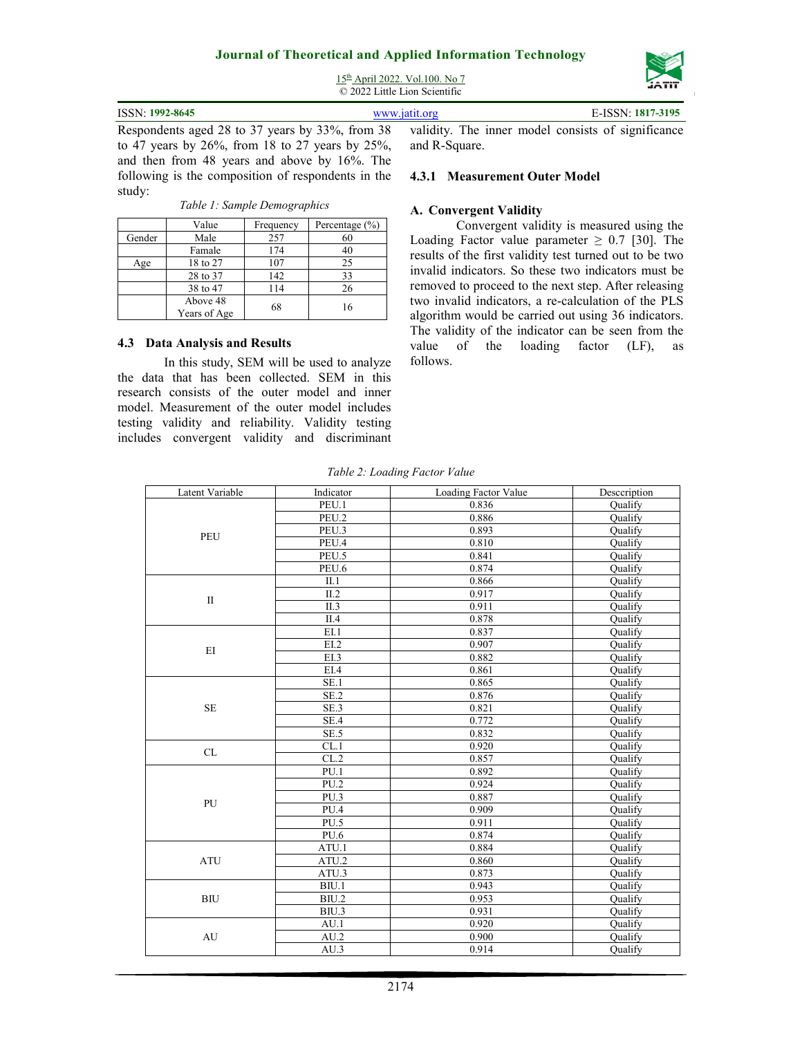15th April 2022. Vol.100. No 7 © 2022 Little Lion Scientific

| <b>ISSN: 1992-8645</b>                                                                                                                                                                                                                                                                                                                                                                                                                                    | www.jatit.org |  | E-ISSN: 1817-3195 |
|-----------------------------------------------------------------------------------------------------------------------------------------------------------------------------------------------------------------------------------------------------------------------------------------------------------------------------------------------------------------------------------------------------------------------------------------------------------|---------------|--|-------------------|
| Respondents aged 28 to 37 years by 33%, from 38 validity. The inner model consists of significance<br>$\overline{1}$ , $\overline{1}$ , $\overline{1}$ , $\overline{1}$ , $\overline{1}$ , $\overline{1}$ , $\overline{1}$ , $\overline{1}$ , $\overline{1}$ , $\overline{1}$ , $\overline{1}$ , $\overline{1}$ , $\overline{1}$ , $\overline{1}$ , $\overline{1}$ , $\overline{1}$ , $\overline{1}$ , $\overline{1}$ , $\overline{1}$ , $\overline{1}$ , |               |  |                   |

to 47 years by 26%, from 18 to 27 years by 25%, and then from 48 years and above by 16%. The following is the composition of respondents in the study:

|        | Value                    | Frequency | Percentage $(\% )$ |
|--------|--------------------------|-----------|--------------------|
| Gender | Male                     | 257       | 60                 |
|        | Famale                   | 174       | 40                 |
| Age    | 18 to 27                 | 107       | 25                 |
|        | 28 to 37                 | 142       | 33                 |
|        | 38 to 47                 | 114       | 26                 |
|        | Above 48<br>Years of Age | 68        | 16                 |

**4.3 Data Analysis and Results** 

In this study, SEM will be used to analyze the data that has been collected. SEM in this research consists of the outer model and inner model. Measurement of the outer model includes testing validity and reliability. Validity testing includes convergent validity and discriminant

and R-Square.

#### **4.3.1 Measurement Outer Model**

#### **A. Convergent Validity**

Convergent validity is measured using the Loading Factor value parameter  $\geq$  0.7 [30]. The results of the first validity test turned out to be two invalid indicators. So these two indicators must be removed to proceed to the next step. After releasing two invalid indicators, a re-calculation of the PLS algorithm would be carried out using 36 indicators. The validity of the indicator can be seen from the value of the loading factor (LF), as follows.

*Table 2: Loading Factor Value* 

| Latent Variable                   | Indicator                | Loading Factor Value | Desceription   |
|-----------------------------------|--------------------------|----------------------|----------------|
|                                   | PEU.1                    | 0.836                | <b>Qualify</b> |
|                                   | PEU.2                    | 0.886                | Qualify        |
| PEU                               | PEU.3                    | 0.893                | <b>Qualify</b> |
|                                   | PEU.4                    | 0.810                | Qualify        |
|                                   | PEU.5                    | 0.841                | Qualify        |
|                                   | PEU.6                    | 0.874                | Qualify        |
|                                   | II.1                     | 0.866                | Qualify        |
| $\mathbf{I}$                      | II.2                     | 0.917                | <b>Qualify</b> |
|                                   | II.3                     | 0.911                | Qualify        |
|                                   | $\overline{II.4}$        | 0.878                | Qualify        |
|                                   | E1.1                     | 0.837                | Qualify        |
|                                   | $\overline{EL2}$         | 0.907                | <b>Qualify</b> |
| EI                                | EI.3                     | 0.882                | Qualify        |
|                                   | EIA                      | 0.861                | Qualify        |
|                                   | SE.1                     | 0.865                | Qualify        |
|                                   | $\overline{\text{SE}}.2$ | 0.876                | Qualify        |
| $\rm SE$                          | SE.3                     | 0.821                | Qualify        |
|                                   | SE.4                     | 0.772                | Qualify        |
|                                   | SE.5                     | 0.832                | Qualify        |
|                                   | CL.1                     | 0.920                | Qualify        |
| $\ensuremath{\mathrm{CL}}\xspace$ | CL.2                     | 0.857                | Qualify        |
|                                   | PU.1                     | 0.892                | Qualify        |
|                                   | PU.2                     | 0.924                | Qualify        |
|                                   | PU.3                     | 0.887                | Qualify        |
| PU                                | PU.4                     | 0.909                | Qualify        |
|                                   | PU.5                     | 0.911                | Qualify        |
|                                   | <b>PU.6</b>              | 0.874                | Qualify        |
|                                   | ATU.1                    | 0.884                | <b>Qualify</b> |
| <b>ATU</b>                        | ATU.2                    | 0.860                | Qualify        |
|                                   | ATU.3                    | 0.873                | Qualify        |
|                                   | B <sub>IU.1</sub>        | 0.943                | Oualify        |
| <b>BIU</b>                        | B <sub>IU.2</sub>        | 0.953                | Qualify        |
|                                   | BIU.3                    | 0.931                | Qualify        |
|                                   | AU.1                     | 0.920                | Qualify        |
| AU                                | AU.2                     | 0.900                | Qualify        |
|                                   | AU.3                     | 0.914                | Qualify        |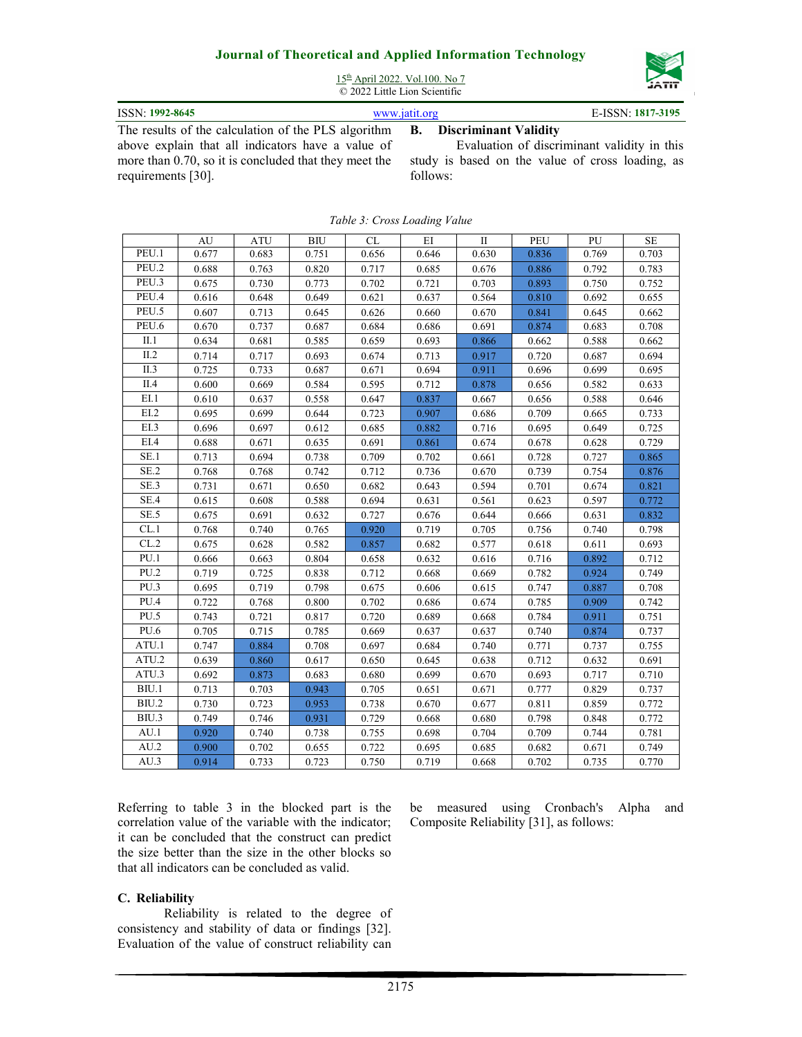

15th April 2022. Vol.100. No 7 © 2022 Little Lion Scientific

| ISSN: 1992-8645                                     | www.iatit.org |  | E-ISSN: 1817-3195               |  |
|-----------------------------------------------------|---------------|--|---------------------------------|--|
| The results of the calculation of the PLS algorithm |               |  | <b>B.</b> Discriminant Validity |  |

The results of the calculation of the PLS algorithm above explain that all indicators have a value of more than 0.70, so it is concluded that they meet the requirements [30].

# **B. Discriminant Validity**

Evaluation of discriminant validity in this study is based on the value of cross loading, as follows:

|                    | AU    | <b>ATU</b> | <b>BIU</b> | <b>CL</b> | EI    | $\mathbf{I}$ | PEU   | PU    | <b>SE</b> |
|--------------------|-------|------------|------------|-----------|-------|--------------|-------|-------|-----------|
| PEU.1              | 0.677 | 0.683      | 0.751      | 0.656     | 0.646 | 0.630        | 0.836 | 0.769 | 0.703     |
| PEU.2              | 0.688 | 0.763      | 0.820      | 0.717     | 0.685 | 0.676        | 0.886 | 0.792 | 0.783     |
| PEU.3              | 0.675 | 0.730      | 0.773      | 0.702     | 0.721 | 0.703        | 0.893 | 0.750 | 0.752     |
| PEU.4              | 0.616 | 0.648      | 0.649      | 0.621     | 0.637 | 0.564        | 0.810 | 0.692 | 0.655     |
| PEU.5              | 0.607 | 0.713      | 0.645      | 0.626     | 0.660 | 0.670        | 0.841 | 0.645 | 0.662     |
| PEU.6              | 0.670 | 0.737      | 0.687      | 0.684     | 0.686 | 0.691        | 0.874 | 0.683 | 0.708     |
| II.1               | 0.634 | 0.681      | 0.585      | 0.659     | 0.693 | 0.866        | 0.662 | 0.588 | 0.662     |
| II.2               | 0.714 | 0.717      | 0.693      | 0.674     | 0.713 | 0.917        | 0.720 | 0.687 | 0.694     |
| II.3               | 0.725 | 0.733      | 0.687      | 0.671     | 0.694 | 0.911        | 0.696 | 0.699 | 0.695     |
| II.4               | 0.600 | 0.669      | 0.584      | 0.595     | 0.712 | 0.878        | 0.656 | 0.582 | 0.633     |
| EL1                | 0.610 | 0.637      | 0.558      | 0.647     | 0.837 | 0.667        | 0.656 | 0.588 | 0.646     |
| E <sub>L</sub> 2   | 0.695 | 0.699      | 0.644      | 0.723     | 0.907 | 0.686        | 0.709 | 0.665 | 0.733     |
| E <sub>L</sub> 3   | 0.696 | 0.697      | 0.612      | 0.685     | 0.882 | 0.716        | 0.695 | 0.649 | 0.725     |
| EIA                | 0.688 | 0.671      | 0.635      | 0.691     | 0.861 | 0.674        | 0.678 | 0.628 | 0.729     |
| SE.1               | 0.713 | 0.694      | 0.738      | 0.709     | 0.702 | 0.661        | 0.728 | 0.727 | 0.865     |
| SE.2               | 0.768 | 0.768      | 0.742      | 0.712     | 0.736 | 0.670        | 0.739 | 0.754 | 0.876     |
| SE <sub>3</sub>    | 0.731 | 0.671      | 0.650      | 0.682     | 0.643 | 0.594        | 0.701 | 0.674 | 0.821     |
| SE.4               | 0.615 | 0.608      | 0.588      | 0.694     | 0.631 | 0.561        | 0.623 | 0.597 | 0.772     |
| SE.5               | 0.675 | 0.691      | 0.632      | 0.727     | 0.676 | 0.644        | 0.666 | 0.631 | 0.832     |
| CL.1               | 0.768 | 0.740      | 0.765      | 0.920     | 0.719 | 0.705        | 0.756 | 0.740 | 0.798     |
| CL.2               | 0.675 | 0.628      | 0.582      | 0.857     | 0.682 | 0.577        | 0.618 | 0.611 | 0.693     |
| PU.1               | 0.666 | 0.663      | 0.804      | 0.658     | 0.632 | 0.616        | 0.716 | 0.892 | 0.712     |
| PU.2               | 0.719 | 0.725      | 0.838      | 0.712     | 0.668 | 0.669        | 0.782 | 0.924 | 0.749     |
| PU.3               | 0.695 | 0.719      | 0.798      | 0.675     | 0.606 | 0.615        | 0.747 | 0.887 | 0.708     |
| PU.4               | 0.722 | 0.768      | 0.800      | 0.702     | 0.686 | 0.674        | 0.785 | 0.909 | 0.742     |
| PU.5               | 0.743 | 0.721      | 0.817      | 0.720     | 0.689 | 0.668        | 0.784 | 0.911 | 0.751     |
| PU.6               | 0.705 | 0.715      | 0.785      | 0.669     | 0.637 | 0.637        | 0.740 | 0.874 | 0.737     |
| ATU.1              | 0.747 | 0.884      | 0.708      | 0.697     | 0.684 | 0.740        | 0.771 | 0.737 | 0.755     |
| ATU.2              | 0.639 | 0.860      | 0.617      | 0.650     | 0.645 | 0.638        | 0.712 | 0.632 | 0.691     |
| ATU.3              | 0.692 | 0.873      | 0.683      | 0.680     | 0.699 | 0.670        | 0.693 | 0.717 | 0.710     |
| B <sub>IU.1</sub>  | 0.713 | 0.703      | 0.943      | 0.705     | 0.651 | 0.671        | 0.777 | 0.829 | 0.737     |
| $\overline{BU}$ .2 | 0.730 | 0.723      | 0.953      | 0.738     | 0.670 | 0.677        | 0.811 | 0.859 | 0.772     |
| BIU.3              | 0.749 | 0.746      | 0.931      | 0.729     | 0.668 | 0.680        | 0.798 | 0.848 | 0.772     |
| AU.1               | 0.920 | 0.740      | 0.738      | 0.755     | 0.698 | 0.704        | 0.709 | 0.744 | 0.781     |
| AU.2               | 0.900 | 0.702      | 0.655      | 0.722     | 0.695 | 0.685        | 0.682 | 0.671 | 0.749     |
| AU.3               | 0.914 | 0.733      | 0.723      | 0.750     | 0.719 | 0.668        | 0.702 | 0.735 | 0.770     |

*Table 3: Cross Loading Value* 

Referring to table 3 in the blocked part is the correlation value of the variable with the indicator; it can be concluded that the construct can predict the size better than the size in the other blocks so that all indicators can be concluded as valid.

#### **C. Reliability**

Reliability is related to the degree of consistency and stability of data or findings [32]. Evaluation of the value of construct reliability can

be measured using Cronbach's Alpha and Composite Reliability [31], as follows: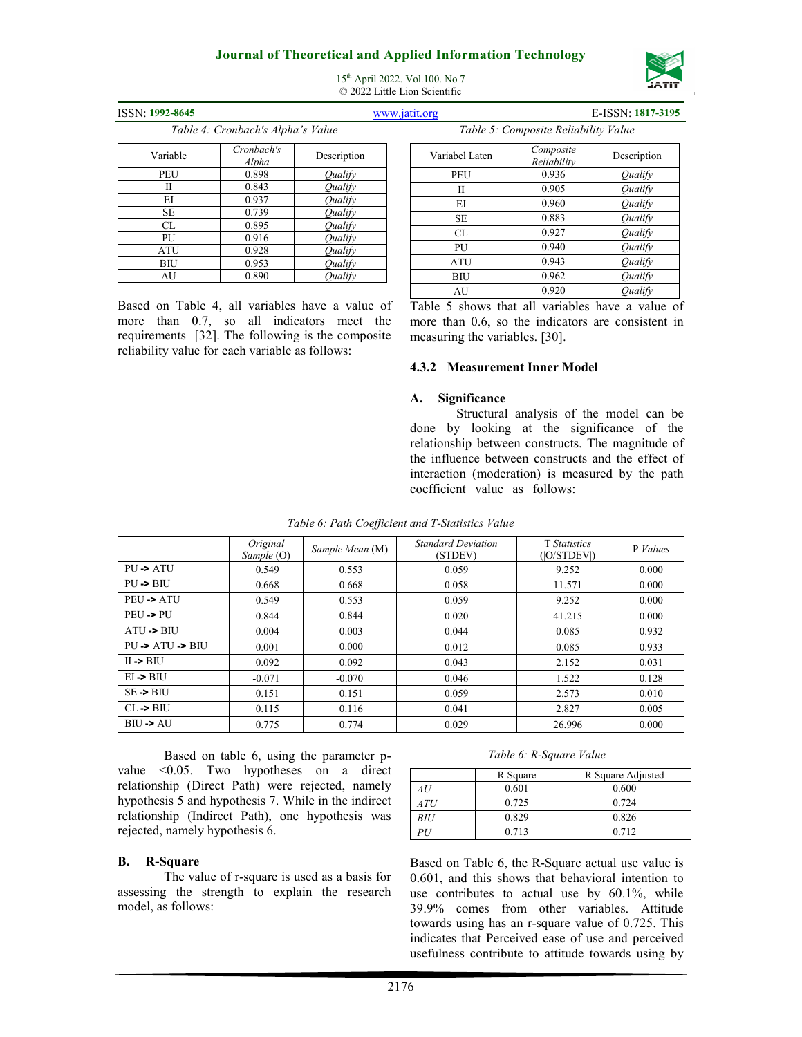

15th April 2022. Vol.100. No 7 © 2022 Little Lion Scientific

| SSN: 1992-8645 |  |
|----------------|--|
|                |  |

*Table 4: Cronbach's Alpha's Value* 

#### ISSN: **1992-8645** www.jatit.org E-ISSN: **1817-3195** *Table 5: Composite Reliability Value*

PEU 0.936 *Qualify*<br>
II 0.905 *Qualify* II 0.905 *Qualify* EI 0.960 *Qualify* SE 0.883 *Qualify*<br>CL 0.927 *Qualify* CL 0.927 *Qualify* PU 0.940 *Qualify* ATU 0.943 *Qualify* BIU 0.962 *Qualify*

*Reliability* Description<br>  $\frac{1}{2}$  Description<br>  $\frac{1}{2}$  Description

| Variable | Cronbach's<br>Alpha | Description |
|----------|---------------------|-------------|
| PEU      | 0.898               | Oualify     |
| Н        | 0.843               | Oualify     |
| EI       | 0.937               | Oualify     |
| SE       | 0.739               | Qualify     |
| CL       | 0.895               | Oualifv     |
| PU       | 0.916               | Oualify     |
| ATU      | 0.928               | Oualifv     |
| BIU      | 0.953               | Qualify     |
| AU       | 0.890               | Oualifv     |

Based on Table 4, all variables have a value of more than 0.7, so all indicators meet the requirements [32]. The following is the composite reliability value for each variable as follows:

| AU                                                 | 0.920 | Oualify |  |
|----------------------------------------------------|-------|---------|--|
| Table 5 shows that all variables have a value of   |       |         |  |
| more than 0.6, so the indicators are consistent in |       |         |  |
| measuring the variables. [30].                     |       |         |  |

#### **4.3.2 Measurement Inner Model**

Variabel Laten *Composite* 

### **A. Significance**

Structural analysis of the model can be done by looking at the significance of the relationship between constructs. The magnitude of the influence between constructs and the effect of interaction (moderation) is measured by the path coefficient value as follows:

|                                      | Original<br>Sample (O) | Sample Mean (M) | <b>Standard Deviation</b><br>(STDEV) | T Statistics<br>( O/STDEV ) | P Values |
|--------------------------------------|------------------------|-----------------|--------------------------------------|-----------------------------|----------|
| $PU \rightarrow ATU$                 | 0.549                  | 0.553           | 0.059                                | 9.252                       | 0.000    |
| $PU \rightarrow BIU$                 | 0.668                  | 0.668           | 0.058                                | 11.571                      | 0.000    |
| $PEU \rightarrow ATU$                | 0.549                  | 0.553           | 0.059                                | 9.252                       | 0.000    |
| PEU->PU                              | 0.844                  | 0.844           | 0.020                                | 41.215                      | 0.000    |
| $ATU \rightarrow BIU$                | 0.004                  | 0.003           | 0.044                                | 0.085                       | 0.932    |
| $PU \rightarrow ATU \rightarrow BIU$ | 0.001                  | 0.000           | 0.012                                | 0.085                       | 0.933    |
| $II \rightarrow BHJ$                 | 0.092                  | 0.092           | 0.043                                | 2.152                       | 0.031    |
| $EI \rightarrow BIU$                 | $-0.071$               | $-0.070$        | 0.046                                | 1.522                       | 0.128    |
| $SE \rightarrow BIU$                 | 0.151                  | 0.151           | 0.059                                | 2.573                       | 0.010    |
| $CL \rightarrow BII$                 | 0.115                  | 0.116           | 0.041                                | 2.827                       | 0.005    |
| $BII \rightarrow AU$                 | 0.775                  | 0.774           | 0.029                                | 26.996                      | 0.000    |

*Table 6: Path Coefficient and T-Statistics Value* 

Based on table 6, using the parameter pvalue <0.05. Two hypotheses on a direct relationship (Direct Path) were rejected, namely hypothesis 5 and hypothesis 7. While in the indirect relationship (Indirect Path), one hypothesis was rejected, namely hypothesis 6.

#### **B. R-Square**

The value of r-square is used as a basis for assessing the strength to explain the research model, as follows:

#### *Table 6: R-Square Value*

|     | R Square | R Square Adjusted |
|-----|----------|-------------------|
| 4 U | 0.601    | 0.600             |
| ATU | 0.725    | 0.724             |
| BIU | 0.829    | 0.826             |
|     | 0.713    | 0.712             |

Based on Table 6, the R-Square actual use value is 0.601, and this shows that behavioral intention to use contributes to actual use by 60.1%, while 39.9% comes from other variables. Attitude towards using has an r-square value of 0.725. This indicates that Perceived ease of use and perceived usefulness contribute to attitude towards using by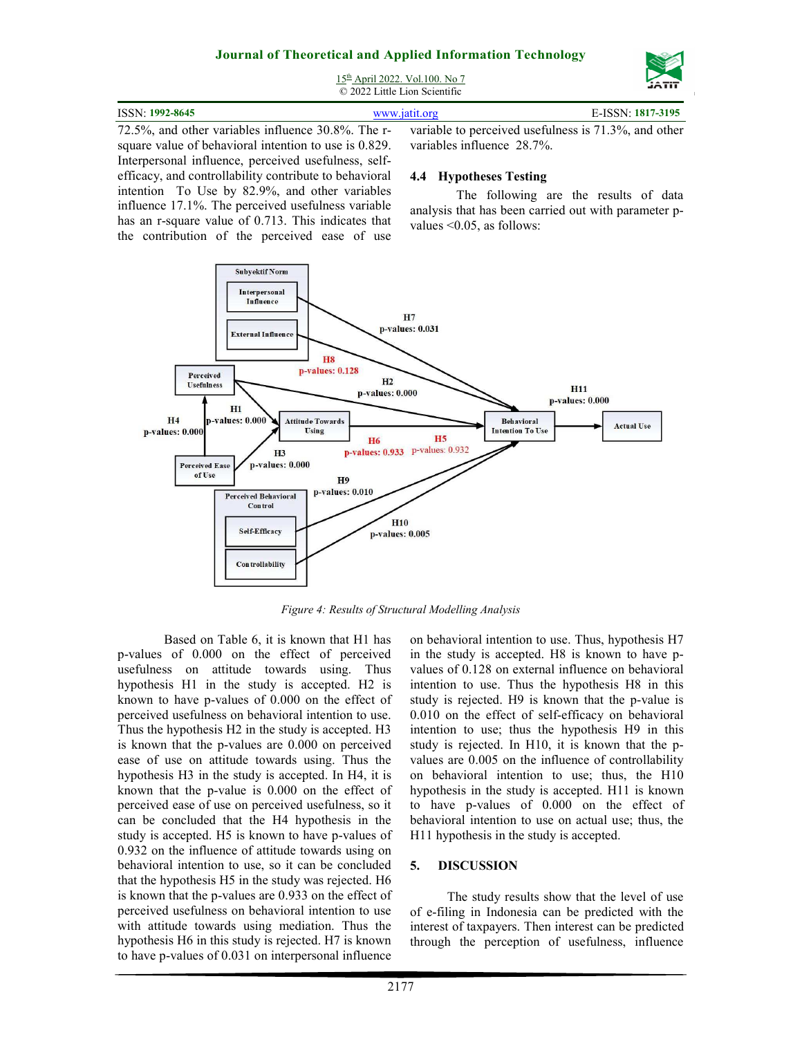

15th April 2022. Vol.100. No 7 © 2022 Little Lion Scientific

| ISSN: 1992-8645                                                                                         | www.jatit.org | E-ISSN: 1817-3195 |
|---------------------------------------------------------------------------------------------------------|---------------|-------------------|
| 72.5%, and other variables influence 30.8%. The r- variable to perceived usefulness is 71.3%, and other |               |                   |

square value of behavioral intention to use is 0.829. Interpersonal influence, perceived usefulness, selfefficacy, and controllability contribute to behavioral intention To Use by 82.9%, and other variables influence 17.1%. The perceived usefulness variable has an r-square value of 0.713. This indicates that the contribution of the perceived ease of use variables influence 28.7%.

### **4.4 Hypotheses Testing**

The following are the results of data analysis that has been carried out with parameter pvalues <0.05, as follows:



*Figure 4: Results of Structural Modelling Analysis*

Based on Table 6, it is known that H1 has p-values of 0.000 on the effect of perceived usefulness on attitude towards using. Thus hypothesis H1 in the study is accepted. H2 is known to have p-values of 0.000 on the effect of perceived usefulness on behavioral intention to use. Thus the hypothesis H2 in the study is accepted. H3 is known that the p-values are 0.000 on perceived ease of use on attitude towards using. Thus the hypothesis H3 in the study is accepted. In H4, it is known that the p-value is 0.000 on the effect of perceived ease of use on perceived usefulness, so it can be concluded that the H4 hypothesis in the study is accepted. H5 is known to have p-values of 0.932 on the influence of attitude towards using on behavioral intention to use, so it can be concluded that the hypothesis H5 in the study was rejected. H6 is known that the p-values are 0.933 on the effect of perceived usefulness on behavioral intention to use with attitude towards using mediation. Thus the hypothesis H6 in this study is rejected. H7 is known to have p-values of 0.031 on interpersonal influence on behavioral intention to use. Thus, hypothesis H7 in the study is accepted. H8 is known to have pvalues of 0.128 on external influence on behavioral intention to use. Thus the hypothesis H8 in this study is rejected. H9 is known that the p-value is 0.010 on the effect of self-efficacy on behavioral intention to use; thus the hypothesis H9 in this study is rejected. In H10, it is known that the pvalues are 0.005 on the influence of controllability on behavioral intention to use; thus, the H10 hypothesis in the study is accepted. H11 is known to have p-values of 0.000 on the effect of behavioral intention to use on actual use; thus, the H11 hypothesis in the study is accepted.

### **5. DISCUSSION**

The study results show that the level of use of e-filing in Indonesia can be predicted with the interest of taxpayers. Then interest can be predicted through the perception of usefulness, influence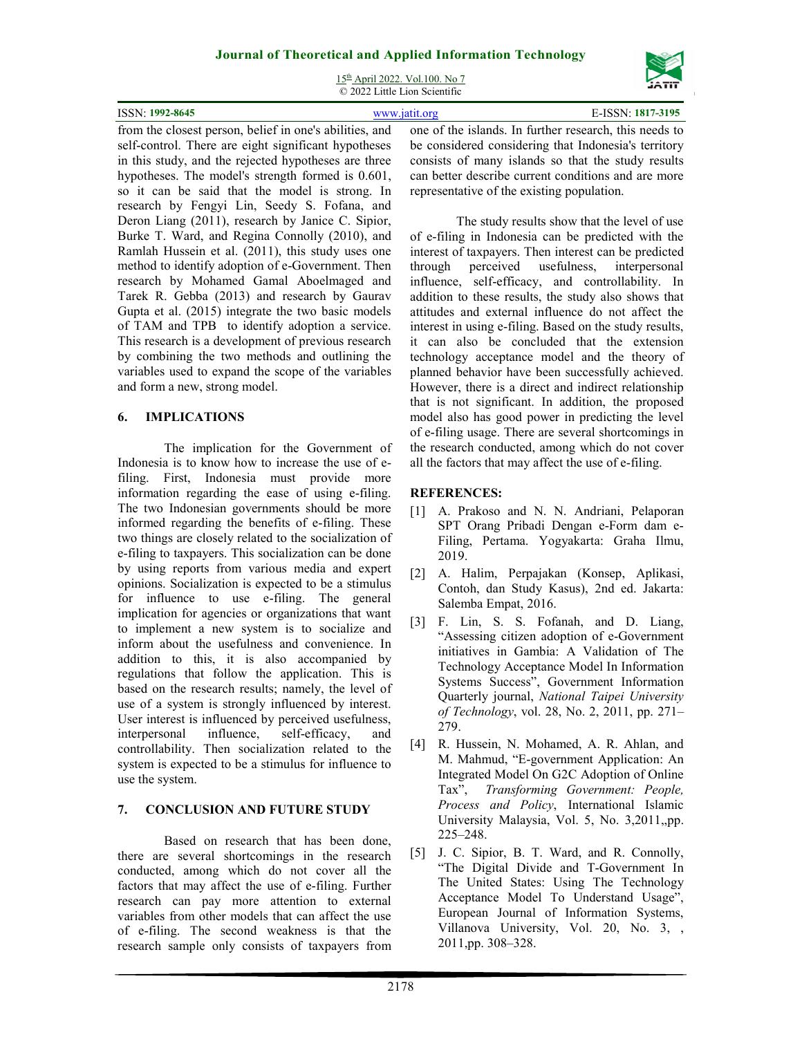15th April 2022. Vol.100. No 7 © 2022 Little Lion Scientific

| <b>ISSN: 1992-8645</b> | www.jatit.org                                                                                                  | E-ISSN: 1817-3195 |
|------------------------|----------------------------------------------------------------------------------------------------------------|-------------------|
|                        | from the closest person, belief in one's abilities, and one of the islands. In further research, this needs to |                   |

from the closest person, belief in one's abilities, and self-control. There are eight significant hypotheses in this study, and the rejected hypotheses are three hypotheses. The model's strength formed is 0.601, so it can be said that the model is strong. In research by Fengyi Lin, Seedy S. Fofana, and Deron Liang (2011), research by Janice C. Sipior, Burke T. Ward, and Regina Connolly (2010), and Ramlah Hussein et al. (2011), this study uses one method to identify adoption of e-Government. Then research by Mohamed Gamal Aboelmaged and Tarek R. Gebba (2013) and research by Gaurav Gupta et al. (2015) integrate the two basic models of TAM and TPB to identify adoption a service. This research is a development of previous research by combining the two methods and outlining the variables used to expand the scope of the variables and form a new, strong model.

# **6. IMPLICATIONS**

The implication for the Government of Indonesia is to know how to increase the use of efiling. First, Indonesia must provide more information regarding the ease of using e-filing. The two Indonesian governments should be more informed regarding the benefits of e-filing. These two things are closely related to the socialization of e-filing to taxpayers. This socialization can be done by using reports from various media and expert opinions. Socialization is expected to be a stimulus for influence to use e-filing. The general implication for agencies or organizations that want to implement a new system is to socialize and inform about the usefulness and convenience. In addition to this, it is also accompanied by regulations that follow the application. This is based on the research results; namely, the level of use of a system is strongly influenced by interest. User interest is influenced by perceived usefulness, interpersonal influence, self-efficacy, and controllability. Then socialization related to the system is expected to be a stimulus for influence to use the system.

## **7. CONCLUSION AND FUTURE STUDY**

Based on research that has been done, there are several shortcomings in the research conducted, among which do not cover all the factors that may affect the use of e-filing. Further research can pay more attention to external variables from other models that can affect the use of e-filing. The second weakness is that the research sample only consists of taxpayers from

one of the islands. In further research, this needs to be considered considering that Indonesia's territory consists of many islands so that the study results can better describe current conditions and are more representative of the existing population.

The study results show that the level of use of e-filing in Indonesia can be predicted with the interest of taxpayers. Then interest can be predicted through perceived usefulness, interpersonal influence, self-efficacy, and controllability. In addition to these results, the study also shows that attitudes and external influence do not affect the interest in using e-filing. Based on the study results, it can also be concluded that the extension technology acceptance model and the theory of planned behavior have been successfully achieved. However, there is a direct and indirect relationship that is not significant. In addition, the proposed model also has good power in predicting the level of e-filing usage. There are several shortcomings in the research conducted, among which do not cover all the factors that may affect the use of e-filing.

# **REFERENCES:**

- [1] A. Prakoso and N. N. Andriani, Pelaporan SPT Orang Pribadi Dengan e-Form dam e-Filing, Pertama. Yogyakarta: Graha Ilmu, 2019.
- [2] A. Halim, Perpajakan (Konsep, Aplikasi, Contoh, dan Study Kasus), 2nd ed. Jakarta: Salemba Empat, 2016.
- [3] F. Lin, S. S. Fofanah, and D. Liang, "Assessing citizen adoption of e-Government initiatives in Gambia: A Validation of The Technology Acceptance Model In Information Systems Success", Government Information Quarterly journal, *National Taipei University of Technology*, vol. 28, No. 2, 2011, pp. 271– 279.
- [4] R. Hussein, N. Mohamed, A. R. Ahlan, and M. Mahmud, "E-government Application: An Integrated Model On G2C Adoption of Online Tax", *Transforming Government: People, Process and Policy*, International Islamic University Malaysia, Vol. 5, No. 3,2011,,pp. 225–248.
- [5] J. C. Sipior, B. T. Ward, and R. Connolly, "The Digital Divide and T-Government In The United States: Using The Technology Acceptance Model To Understand Usage", European Journal of Information Systems, Villanova University, Vol. 20, No. 3, , 2011,pp. 308–328.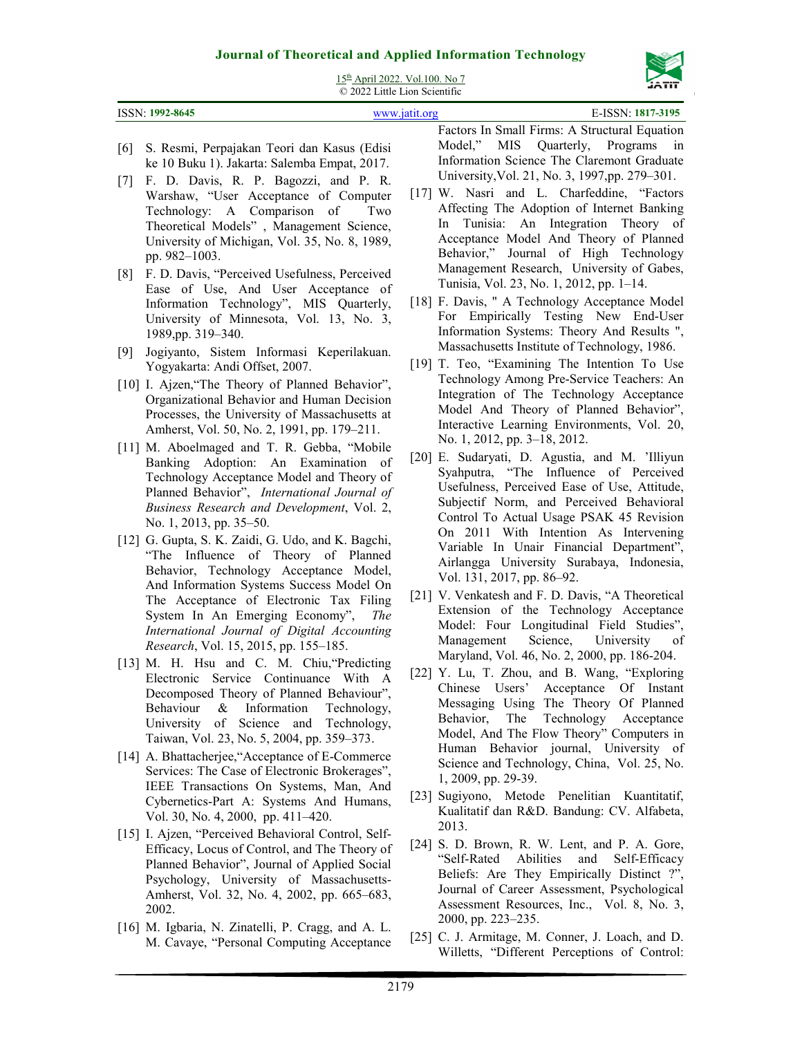

15th April 2022. Vol.100. No 7 © 2022 Little Lion Scientific

| 1992-8645<br>ISSN:<br>1017- | $\approx$ 2022 Lattic Library Scientific |           |
|-----------------------------|------------------------------------------|-----------|
|                             |                                          | 1817-3195 |

- [6] S. Resmi, Perpajakan Teori dan Kasus (Edisi ke 10 Buku 1). Jakarta: Salemba Empat, 2017.
- [7] F. D. Davis, R. P. Bagozzi, and P. R. Warshaw, "User Acceptance of Computer Technology: A Comparison of Two Theoretical Models" , Management Science, University of Michigan, Vol. 35, No. 8, 1989, pp. 982–1003.
- [8] F. D. Davis, "Perceived Usefulness, Perceived Ease of Use, And User Acceptance of Information Technology", MIS Quarterly, University of Minnesota, Vol. 13, No. 3, 1989,pp. 319–340.
- [9] Jogiyanto, Sistem Informasi Keperilakuan. Yogyakarta: Andi Offset, 2007.
- [10] I. Ajzen, "The Theory of Planned Behavior", Organizational Behavior and Human Decision Processes, the University of Massachusetts at Amherst, Vol. 50, No. 2, 1991, pp. 179–211.
- [11] M. Aboelmaged and T. R. Gebba, "Mobile Banking Adoption: An Examination of Technology Acceptance Model and Theory of Planned Behavior", *International Journal of Business Research and Development*, Vol. 2, No. 1, 2013, pp. 35–50.
- [12] G. Gupta, S. K. Zaidi, G. Udo, and K. Bagchi, "The Influence of Theory of Planned Behavior, Technology Acceptance Model, And Information Systems Success Model On The Acceptance of Electronic Tax Filing System In An Emerging Economy", *The International Journal of Digital Accounting Research*, Vol. 15, 2015, pp. 155–185.
- [13] M. H. Hsu and C. M. Chiu, "Predicting Electronic Service Continuance With A Decomposed Theory of Planned Behaviour", Behaviour & Information Technology, University of Science and Technology, Taiwan, Vol. 23, No. 5, 2004, pp. 359–373.
- [14] A. Bhattacherjee, "Acceptance of E-Commerce" Services: The Case of Electronic Brokerages", IEEE Transactions On Systems, Man, And Cybernetics-Part A: Systems And Humans, Vol. 30, No. 4, 2000, pp. 411–420.
- [15] I. Ajzen, "Perceived Behavioral Control, Self-Efficacy, Locus of Control, and The Theory of Planned Behavior", Journal of Applied Social Psychology, University of Massachusetts-Amherst, Vol. 32, No. 4, 2002, pp. 665–683, 2002.
- [16] M. Igbaria, N. Zinatelli, P. Cragg, and A. L. M. Cavaye, "Personal Computing Acceptance

Factors In Small Firms: A Structural Equation Model," MIS Quarterly, Programs in Information Science The Claremont Graduate University,Vol. 21, No. 3, 1997,pp. 279–301.

- [17] W. Nasri and L. Charfeddine, "Factors Affecting The Adoption of Internet Banking In Tunisia: An Integration Theory of Acceptance Model And Theory of Planned Behavior," Journal of High Technology Management Research, University of Gabes, Tunisia, Vol. 23, No. 1, 2012, pp. 1–14.
- [18] F. Davis, " A Technology Acceptance Model For Empirically Testing New End-User Information Systems: Theory And Results ", Massachusetts Institute of Technology, 1986.
- [19] T. Teo, "Examining The Intention To Use Technology Among Pre-Service Teachers: An Integration of The Technology Acceptance Model And Theory of Planned Behavior", Interactive Learning Environments, Vol. 20, No. 1, 2012, pp. 3–18, 2012.
- [20] E. Sudaryati, D. Agustia, and M. 'Illiyun Syahputra, "The Influence of Perceived Usefulness, Perceived Ease of Use, Attitude, Subjectif Norm, and Perceived Behavioral Control To Actual Usage PSAK 45 Revision On 2011 With Intention As Intervening Variable In Unair Financial Department", Airlangga University Surabaya, Indonesia, Vol. 131, 2017, pp. 86–92.
- [21] V. Venkatesh and F. D. Davis, "A Theoretical Extension of the Technology Acceptance Model: Four Longitudinal Field Studies", Management Science, University of Maryland, Vol. 46, No. 2, 2000, pp. 186-204.
- [22] Y. Lu, T. Zhou, and B. Wang, "Exploring Chinese Users' Acceptance Of Instant Messaging Using The Theory Of Planned Behavior, The Technology Acceptance Model, And The Flow Theory" Computers in Human Behavior journal, University of Science and Technology, China, Vol. 25, No. 1, 2009, pp. 29-39.
- [23] Sugiyono, Metode Penelitian Kuantitatif, Kualitatif dan R&D. Bandung: CV. Alfabeta, 2013.
- [24] S. D. Brown, R. W. Lent, and P. A. Gore, "Self-Rated Abilities and Self-Efficacy Beliefs: Are They Empirically Distinct ?", Journal of Career Assessment, Psychological Assessment Resources, Inc., Vol. 8, No. 3, 2000, pp. 223–235.
- [25] C. J. Armitage, M. Conner, J. Loach, and D. Willetts, "Different Perceptions of Control: